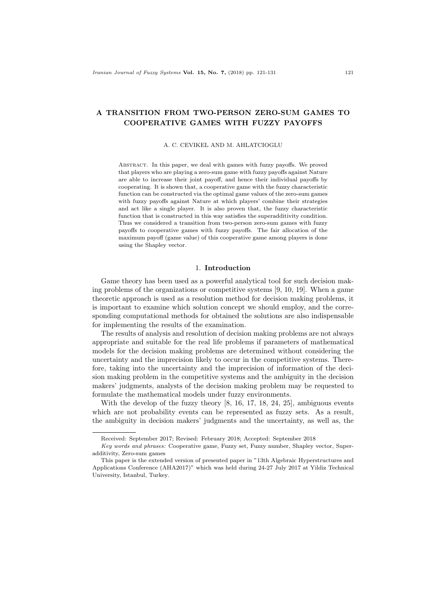# A TRANSITION FROM TWO-PERSON ZERO-SUM GAMES TO COOPERATIVE GAMES WITH FUZZY PAYOFFS

#### A. C. CEVIKEL AND M. AHLATCIOGLU

Abstract. In this paper, we deal with games with fuzzy payoffs. We proved that players who are playing a zero-sum game with fuzzy payoffs against Nature are able to increase their joint payoff, and hence their individual payoffs by cooperating. It is shown that, a cooperative game with the fuzzy characteristic function can be constructed via the optimal game values of the zero-sum games with fuzzy payoffs against Nature at which players' combine their strategies and act like a single player. It is also proven that, the fuzzy characteristic function that is constructed in this way satisfies the superadditivity condition. Thus we considered a transition from two-person zero-sum games with fuzzy payoffs to cooperative games with fuzzy payoffs. The fair allocation of the maximum payoff (game value) of this cooperative game among players is done using the Shapley vector.

### 1. Introduction

Game theory has been used as a powerful analytical tool for such decision making problems of the organizations or competitive systems [9, 10, 19]. When a game theoretic approach is used as a resolution method for decision making problems, it is important to examine which solution concept we should employ, and the corresponding computational methods for obtained the solutions are also indispensable for implementing the results of the examination.

The results of analysis and resolution of decision making problems are not always appropriate and suitable for the real life problems if parameters of mathematical models for the decision making problems are determined without considering the uncertainty and the imprecision likely to occur in the competitive systems. Therefore, taking into the uncertainty and the imprecision of information of the decision making problem in the competitive systems and the ambiguity in the decision makers' judgments, analysts of the decision making problem may be requested to formulate the mathematical models under fuzzy environments.

With the develop of the fuzzy theory [8, 16, 17, 18, 24, 25], ambiguous events which are not probability events can be represented as fuzzy sets. As a result, the ambiguity in decision makers' judgments and the uncertainty, as well as, the

Received: September 2017; Revised: February 2018; Accepted: September 2018

Key words and phrases: Cooperative game, Fuzzy set, Fuzzy number, Shapley vector, Superadditivity, Zero-sum games

This paper is the extended version of presented paper in "13th Algebraic Hyperstructures and Applications Conference (AHA2017)" which was held during 24-27 July 2017 at Yildiz Technical University, Istanbul, Turkey.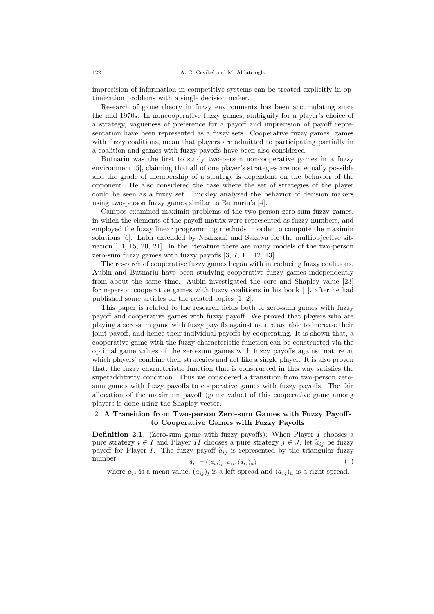imprecision of information in competitive systems can be treated explicitly in optimization problems with a single decision maker.

Research of game theory in fuzzy environments has been accumulating since the mid 1970s. In noncooperative fuzzy games, ambiguity for a player's choice of a strategy, vagueness of preference for a payoff and imprecision of payoff representation have been represented as a fuzzy sets. Cooperative fuzzy games, games with fuzzy coalitions, mean that players are admitted to participating partially in a coalition and games with fuzzy payoffs have been also considered.

Butnariu was the first to study two-person noncooperative games in a fuzzy environment [5], claiming that all of one player's strategies are not equally possible and the grade of membership of a strategy is dependent on the behavior of the opponent. He also considered the case where the set of strategies of the player could be seen as a fuzzy set. Buckley analyzed the behavior of decision makers using two-person fuzzy games similar to Butnariu's [4].

Campos examined maximin problems of the two-person zero-sum fuzzy games, in which the elements of the payoff matrix were represented as fuzzy numbers, and employed the fuzzy linear programming methods in order to compute the maximin solutions [6]. Later extended by Nishizaki and Sakawa for the multiobjective situation [14, 15, 20, 21]. In the literature there are many models of the two-person zero-sum fuzzy games with fuzzy payoffs [3, 7, 11, 12, 13].

The research of cooperative fuzzy games began with introducing fuzzy coalitions. Aubin and Butnariu have been studying cooperative fuzzy games independently from about the same time. Aubin investigated the core and Shapley value [23] for n-person cooperative games with fuzzy coalitions in his book [1], after he had published some articles on the related topics [1, 2].

This paper is related to the research fields both of zero-sum games with fuzzy payoff and cooperative games with fuzzy payoff. We proved that players who are playing a zero-sum game with fuzzy payoffs against nature are able to increase their joint payoff, and hence their individual payoffs by cooperating. It is shown that, a cooperative game with the fuzzy characteristic function can be constructed via the optimal game values of the zero-sum games with fuzzy payoffs against nature at which players' combine their strategies and act like a single player. It is also proven that, the fuzzy characteristic function that is constructed in this way satisfies the superadditivity condition. Thus we considered a transition from two-person zerosum games with fuzzy payoffs to cooperative games with fuzzy payoffs. The fair allocation of the maximum payoff (game value) of this cooperative game among players is done using the Shapley vector.

## 2. A Transition from Two-person Zero-sum Games with Fuzzy Payoffs to Cooperative Games with Fuzzy Payoffs

**Definition 2.1.** (Zero-sum game with fuzzy payoffs): When Player  $I$  chooses a pure strategy  $i \in I$  and Player II chooses a pure strategy  $j \in J$ , let  $\tilde{a}_{ij}$  be fuzzy payoff for Player I. The fuzzy payoff  $\tilde{a}_{ij}$  is represented by the triangular fuzzy number  $\tilde{a}_{ij} = ((a_{ij}) \cdot, a_{ij} \cdot (a_{ij})_{ii})$  (1) number  $\widetilde{a}_{ij} = ((a_{ij})_l, a_{ij}, (a_{ij})_u)$ (1)

where  $a_{ij}$  is a mean value,  $(a_{ij})_l$  is a left spread and  $(a_{ij})_u$  is a right spread.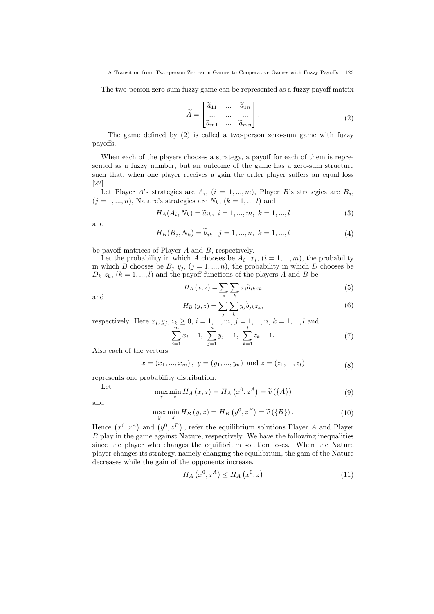The two-person zero-sum fuzzy game can be represented as a fuzzy payoff matrix

$$
\widetilde{A} = \begin{bmatrix} \widetilde{a}_{11} & \dots & \widetilde{a}_{1n} \\ \dots & \dots & \dots \\ \widetilde{a}_{m1} & \dots & \widetilde{a}_{mn} \end{bmatrix} .
$$
\n(2)

The game defined by (2) is called a two-person zero-sum game with fuzzy payoffs.

When each of the players chooses a strategy, a payoff for each of them is represented as a fuzzy number, but an outcome of the game has a zero-sum structure such that, when one player receives a gain the order player suffers an equal loss [22].

Let Player A's strategies are  $A_i$ ,  $(i = 1, ..., m)$ , Player B's strategies are  $B_j$ ,  $(j = 1, ..., n)$ , Nature's strategies are  $N_k$ ,  $(k = 1, ..., l)$  and

$$
H_A(A_i, N_k) = \tilde{a}_{ik}, \ i = 1, ..., m, \ k = 1, ..., l
$$
 (3)

and

$$
H_B(B_j, N_k) = \tilde{b}_{jk}, \ j = 1, ..., n, \ k = 1, ..., l
$$
 (4)

be payoff matrices of Player A and B, respectively.

Let the probability in which A chooses be  $A_i$   $x_i$ ,  $(i = 1, ..., m)$ , the probability in which B chooses be  $B_j$   $y_j$ ,  $(j = 1, ..., n)$ , the probability in which D chooses be  $D_k z_k$ ,  $(k = 1, ..., l)$  and the payoff functions of the players A and B be

$$
H_A(x, z) = \sum_{i} \sum_{k} x_i \tilde{a}_{ik} z_k \tag{5}
$$

and

$$
H_B(y, z) = \sum_j \sum_k y_j \widetilde{b}_{jk} z_k,
$$
\n(6)

respectively. Here  $x_i, y_j, z_k \ge 0, i = 1, ..., m, j = 1, ..., n, k = 1, ..., l$  and

$$
\sum_{i=1}^{m} x_i = 1, \ \sum_{j=1}^{n} y_j = 1, \ \sum_{k=1}^{l} z_k = 1. \tag{7}
$$

Also each of the vectors

$$
x = (x_1, ..., x_m), y = (y_1, ..., y_n)
$$
 and  $z = (z_1, ..., z_l)$  (8)

represents one probability distribution.

$$
\max_{x} \min_{z} H_A(x, z) = H_A(x^0, z^A) = \widetilde{v}(\{A\})
$$
\n(9)

and

Let

$$
\max_{y} \min_{z} H_B(y, z) = H_B(y^0, z^B) = \widetilde{v}(\{B\}).
$$
\n(10)

Hence  $(x^0, z^A)$  and  $(y^0, z^B)$ , refer the equilibrium solutions Player A and Player B play in the game against Nature, respectively. We have the following inequalities since the player who changes the equilibrium solution loses. When the Nature player changes its strategy, namely changing the equilibrium, the gain of the Nature decreases while the gain of the opponents increase.

$$
H_A\left(x^0, z^A\right) \le H_A\left(x^0, z\right) \tag{11}
$$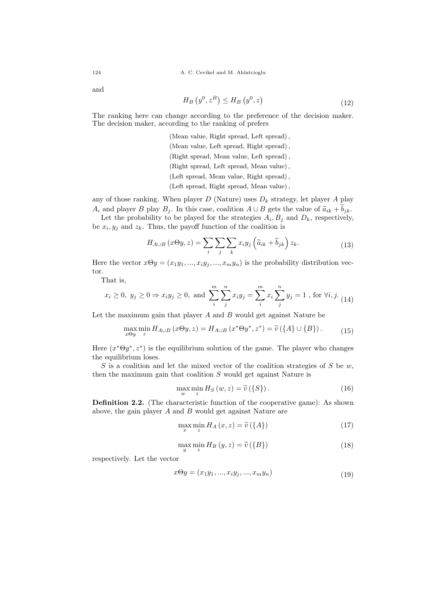$\overline{\phantom{a}}$ 

and

$$
H_B\left(y^0, z^B\right) \le H_B\left(y^0, z\right) \tag{12}
$$

The ranking here can change according to the preference of the decision maker. The decision maker, according to the ranking of prefers

> (Mean value, Right spread, Left spread), (Mean value, Left spread, Right spread), (Right spread, Mean value, Left spread), (Right spread, Left spread, Mean value), (Left spread, Mean value, Right spread), (Left spread, Right spread, Mean value),

any of those ranking. When player  $D$  (Nature) uses  $D_k$  strategy, let player A play  $A_i$  and player B play  $B_j$ . In this case, coalition  $A \cup B$  gets the value of  $\widetilde{a}_{ik} + \widetilde{b}_{jk}$ .

Let the probability to be played for the strategies  $A_i, B_j$  and  $D_k$ , respectively, be  $x_i, y_j$  and  $z_k$ . Thus, the payoff function of the coalition is

$$
H_{A\cup B}(x\Theta y, z) = \sum_{i} \sum_{j} \sum_{k} x_{i} y_{j} \left(\tilde{a}_{ik} + \tilde{b}_{jk}\right) z_{k}.
$$
 (13)

Here the vector  $x\Theta y = (x_1y_1, ..., x_iy_j, ..., x_my_n)$  is the probability distribution vector.

That is,

$$
x_i \ge 0
$$
,  $y_j \ge 0 \Rightarrow x_i y_j \ge 0$ , and  $\sum_{i}^{m} \sum_{j}^{n} x_i y_j = \sum_{i}^{m} x_i \sum_{j}^{n} y_j = 1$ , for  $\forall i, j$ . (14)

Let the maximum gain that player  $A$  and  $B$  would get against Nature be

$$
\max_{x \in y} \min_{z} H_{A \cup B} (x \Theta y, z) = H_{A \cup B} (x^* \Theta y^*, z^*) = \tilde{v} (\{A\} \cup \{B\}). \tag{15}
$$

Here  $(x^*\Theta y^*, z^*)$  is the equilibrium solution of the game. The player who changes the equilibrium loses.

S is a coalition and let the mixed vector of the coalition strategies of S be  $w$ , then the maximum gain that coalition  $S$  would get against Nature is

$$
\max_{w} \min_{z} H_{S}(w, z) = \widetilde{v}(\{S\}).
$$
\n(16)

Definition 2.2. (The characteristic function of the cooperative game): As shown above, the gain player A and B would get against Nature are

$$
\max_{x} \min_{z} H_A(x, z) = \widetilde{v}(\{A\})
$$
\n(17)

$$
\max_{y} \min_{z} H_B(y, z) = \widetilde{v}(\{B\})
$$
\n(18)

respectively. Let the vector

$$
x\Theta y = (x_1y_1, ..., x_iy_j, ..., x_my_n)
$$
\n(19)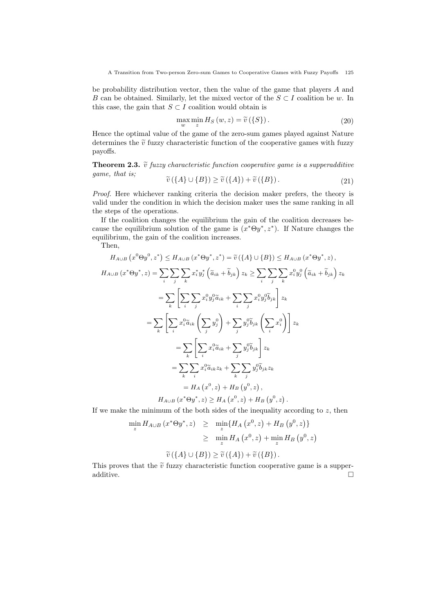be probability distribution vector, then the value of the game that players A and B can be obtained. Similarly, let the mixed vector of the  $S \subset I$  coalition be w. In this case, the gain that  $S \subset I$  coalition would obtain is

$$
\max_{w} \min_{z} H_{S}(w, z) = \widetilde{v}(\{S\}).
$$
\n(20)

Hence the optimal value of the game of the zero-sum games played against Nature determines the  $\tilde{v}$  fuzzy characteristic function of the cooperative games with fuzzy payoffs.

**Theorem 2.3.**  $\tilde{v}$  fuzzy characteristic function cooperative game is a supperadditive game, that is;

$$
\widetilde{v}(\lbrace A \rbrace \cup \lbrace B \rbrace) \ge \widetilde{v}(\lbrace A \rbrace) + \widetilde{v}(\lbrace B \rbrace). \tag{21}
$$

Proof. Here whichever ranking criteria the decision maker prefers, the theory is valid under the condition in which the decision maker uses the same ranking in all the steps of the operations.

If the coalition changes the equilibrium the gain of the coalition decreases because the equilibrium solution of the game is  $(x^*\Theta y^*, z^*)$ . If Nature changes the equilibrium, the gain of the coalition increases.

Then,

$$
H_{A\cup B} (x^{0} \Theta y^{0}, z^{*}) \leq H_{A\cup B} (x^{*} \Theta y^{*}, z^{*}) = \tilde{v} (\{A\} \cup \{B\}) \leq H_{A\cup B} (x^{*} \Theta y^{*}, z),
$$
  
\n
$$
H_{A\cup B} (x^{*} \Theta y^{*}, z) = \sum_{i} \sum_{j} \sum_{k} x_{i}^{*} y_{j}^{*} (\tilde{a}_{ik} + \tilde{b}_{jk}) z_{k} \geq \sum_{i} \sum_{j} \sum_{k} x_{i}^{0} y_{j}^{0} (\tilde{a}_{ik} + \tilde{b}_{jk}) z_{k}
$$
  
\n
$$
= \sum_{k} \left[ \sum_{i} \sum_{j} x_{i}^{0} y_{j}^{0} \tilde{a}_{ik} + \sum_{i} \sum_{j} x_{i}^{0} y_{j}^{0} \tilde{b}_{jk} \right] z_{k}
$$
  
\n
$$
= \sum_{k} \left[ \sum_{i} x_{i}^{0} \tilde{a}_{ik} (\sum_{j} y_{j}^{0}) + \sum_{j} y_{j}^{0} \tilde{b}_{jk} (\sum_{i} x_{i}^{0}) \right] z_{k}
$$
  
\n
$$
= \sum_{k} \left[ \sum_{i} x_{i}^{0} \tilde{a}_{ik} + \sum_{j} y_{j}^{0} \tilde{b}_{jk} \right] z_{k}
$$
  
\n
$$
= \sum_{k} \sum_{i} x_{i}^{0} \tilde{a}_{ik} z_{k} + \sum_{k} \sum_{j} y_{j}^{0} \tilde{b}_{jk} z_{k}
$$
  
\n
$$
= H_{A} (x^{0}, z) + H_{B} (y^{0}, z),
$$

$$
H_{A\cup B}(x^*\Theta y^*, z) \ge H_A(x^0, z) + H_B(y^0, z)
$$
.

If we make the minimum of the both sides of the inequality according to  $z$ , then

$$
\min_{z} H_{A\cup B} (x^* \Theta y^*, z) \geq \min_{z} \{ H_A (x^0, z) + H_B (y^0, z) \}
$$
  
\n
$$
\geq \min_{z} H_A (x^0, z) + \min_{z} H_B (y^0, z)
$$
  
\n
$$
\widetilde{v} (\{A\} \cup \{B\}) \geq \widetilde{v} (\{A\}) + \widetilde{v} (\{B\}).
$$

This proves that the  $\widetilde{v}$  fuzzy characteristic function cooperative game is a supper-additive.  $\hfill\Box$ additive.  $\Box$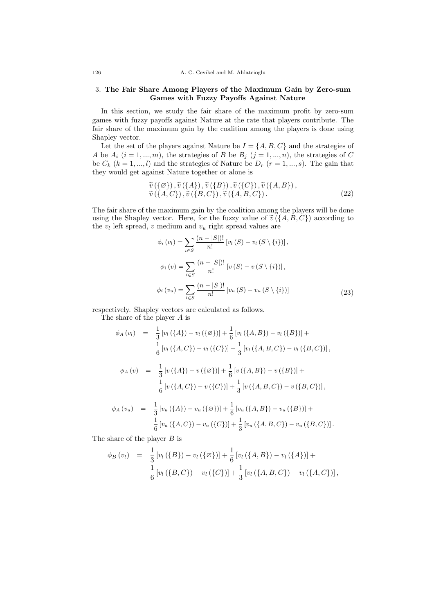### 3. The Fair Share Among Players of the Maximum Gain by Zero-sum Games with Fuzzy Payoffs Against Nature

In this section, we study the fair share of the maximum profit by zero-sum games with fuzzy payoffs against Nature at the rate that players contribute. The fair share of the maximum gain by the coalition among the players is done using Shapley vector.

Let the set of the players against Nature be  $I = \{A, B, C\}$  and the strategies of A be  $A_i$   $(i = 1, ..., m)$ , the strategies of B be  $B_j$   $(j = 1, ..., n)$ , the strategies of C be  $C_k$   $(k = 1, ..., l)$  and the strategies of Nature be  $D_r$   $(r = 1, ..., s)$ . The gain that they would get against Nature together or alone is

$$
\tilde{v}(\{\varnothing\}), \tilde{v}(\{A\}), \tilde{v}(\{B\}), \tilde{v}(\{C\}), \tilde{v}(\{A, B\}),\tilde{v}(\{A, C\}), \tilde{v}(\{B, C\}), \tilde{v}(\{A, B, C\}).
$$
\n(22)

The fair share of the maximum gain by the coalition among the players will be done using the Shapley vector. Here, for the fuzzy value of  $\tilde{v}(\{A, B, C\})$  according to the  $v_l$  left spread, v medium and  $v_u$  right spread values are

$$
\phi_i(v_l) = \sum_{i \in S} \frac{(n - |S|)!}{n!} [v_l(S) - v_l(S \setminus \{i\})],
$$
  

$$
\phi_i(v) = \sum_{i \in S} \frac{(n - |S|)!}{n!} [v(S) - v(S \setminus \{i\})],
$$
  

$$
\phi_i(v_u) = \sum_{i \in S} \frac{(n - |S|)!}{n!} [v_u(S) - v_u(S \setminus \{i\})]
$$
(23)

respectively. Shapley vectors are calculated as follows. The share of the player A is

$$
\phi_A(v_l) = \frac{1}{3} [v_l(\{A\}) - v_l(\{\emptyset\})] + \frac{1}{6} [v_l(\{A,B\}) - v_l(\{B\})] +
$$
  
\n
$$
\frac{1}{6} [v_l(\{A,C\}) - v_l(\{C\})] + \frac{1}{3} [v_l(\{A,B,C\}) - v_l(\{B,C\})],
$$
  
\n
$$
\phi_A(v) = \frac{1}{3} [v(\{A\}) - v(\{\emptyset\})] + \frac{1}{6} [v(\{A,B\}) - v(\{B\})] +
$$
  
\n
$$
\frac{1}{6} [v(\{A,C\}) - v(\{C\})] + \frac{1}{3} [v(\{A,B,C\}) - v(\{B,C\})],
$$
  
\n
$$
\phi_A(v_u) = \frac{1}{3} [v_u(\{A\}) - v_u(\{\emptyset\})] + \frac{1}{6} [v_u(\{A,B\}) - v_u(\{B\})] +
$$
  
\n
$$
\frac{1}{6} [v_u(\{A,C\}) - v_u(\{C\})] + \frac{1}{3} [v_u(\{A,B,C\}) - v_u(\{B,C\})].
$$

The share of the player B is

$$
\phi_B(v_l) = \frac{1}{3} [v_l(\{B\}) - v_l(\{\emptyset\})] + \frac{1}{6} [v_l(\{A, B\}) - v_l(\{A\})] +
$$
  

$$
\frac{1}{6} [v_l(\{B, C\}) - v_l(\{C\})] + \frac{1}{3} [v_l(\{A, B, C\}) - v_l(\{A, C\})],
$$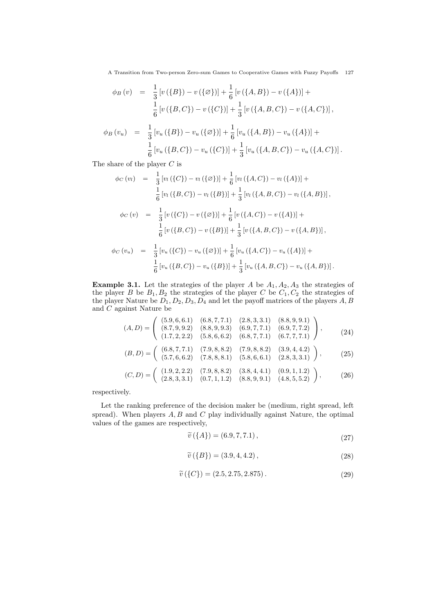A Transition from Two-person Zero-sum Games to Cooperative Games with Fuzzy Payoffs 127

$$
\phi_B(v) = \frac{1}{3} [v(\{B\}) - v(\{\emptyset\})] + \frac{1}{6} [v(\{A, B\}) - v(\{A\})] +
$$
  

$$
\frac{1}{6} [v(\{B, C\}) - v(\{C\})] + \frac{1}{3} [v(\{A, B, C\}) - v(\{A, C\})],
$$
  

$$
\phi_B(v_u) = \frac{1}{3} [v_u(\{B\}) - v_u(\{\emptyset\})] + \frac{1}{6} [v_u(\{A, B\}) - v_u(\{A\})] +
$$
  

$$
\frac{1}{6} [v_u(\{B, C\}) - v_u(\{C\})] + \frac{1}{3} [v_u(\{A, B, C\}) - v_u(\{A, C\})].
$$

The share of the player C is

$$
\phi_C(v_l) = \frac{1}{3} [v_l(\{C\}) - v_l(\{\emptyset\})] + \frac{1}{6} [v_l(\{A, C\}) - v_l(\{A\})] +
$$
  
\n
$$
\frac{1}{6} [v_l(\{B, C\}) - v_l(\{B\})] + \frac{1}{3} [v_l(\{A, B, C\}) - v_l(\{A, B\})],
$$
  
\n
$$
\phi_C(v) = \frac{1}{3} [v(\{C\}) - v(\{\emptyset\})] + \frac{1}{6} [v(\{A, C\}) - v(\{A\})] +
$$
  
\n
$$
\frac{1}{6} [v(\{B, C\}) - v(\{B\})] + \frac{1}{3} [v(\{A, B, C\}) - v(\{A, B\})],
$$
  
\n
$$
\phi_C(v_u) = \frac{1}{3} [v_u(\{C\}) - v_u(\{\emptyset\})] + \frac{1}{6} [v_u(\{A, C\}) - v_u(\{A\})] +
$$
  
\n
$$
\frac{1}{6} [v_u(\{B, C\}) - v_u(\{B\})] + \frac{1}{3} [v_u(\{A, B, C\}) - v_u(\{A, B\})].
$$

**Example 3.1.** Let the strategies of the player A be  $A_1, A_2, A_3$  the strategies of the player B be  $B_1, B_2$  the strategies of the player C be  $C_1, C_2$  the strategies of the player Nature be  $D_1, D_2, D_3, D_4$  and let the payoff matrices of the players  $A, B$ and C against Nature be

$$
(A, D) = \begin{pmatrix} (5.9, 6, 6.1) & (6.8, 7, 7.1) & (2.8, 3, 3.1) & (8.8, 9, 9.1) \\ (8.7, 9, 9.2) & (8.8, 9, 9.3) & (6.9, 7, 7.1) & (6.9, 7, 7.2) \\ (1.7, 2, 2.2) & (5.8, 6, 6.2) & (6.8, 7, 7.1) & (6.7, 7, 7.1) \end{pmatrix},
$$
\n
$$
(24)
$$
\n
$$
(B, D) \begin{pmatrix} (6.8, 7, 7.1) & (7.9, 8, 8.2) & (7.9, 8, 8.2) & (3.9, 4, 4.2) \\ (7.9, 8, 8.2) & (7.9, 8, 8.2) & (3.9, 4, 4.2) \end{pmatrix}
$$

$$
(B, D) = \begin{pmatrix} (6.8, 7, 7.1) & (7.9, 8, 8.2) & (7.9, 8, 8.2) & (3.9, 4, 4.2) \\ (5.7, 6, 6.2) & (7.8, 8, 8.1) & (5.8, 6, 6.1) & (2.8, 3, 3.1) \end{pmatrix},
$$
 (25)

$$
(C,D) = \begin{pmatrix} (1.9, 2, 2.2) & (7.9, 8, 8.2) & (3.8, 4, 4.1) & (0.9, 1, 1.2) \\ (2.8, 3, 3.1) & (0.7, 1, 1.2) & (8.8, 9, 9.1) & (4.8, 5, 5.2) \end{pmatrix},
$$
(26)

respectively.

Let the ranking preference of the decision maker be (medium, right spread, left spread). When players  $A, B$  and  $C$  play individually against Nature, the optimal values of the games are respectively,

$$
\widetilde{v}(\lbrace A \rbrace) = (6.9, 7, 7.1),\tag{27}
$$

$$
\tilde{v}(\{B\}) = (3.9, 4, 4.2),\tag{28}
$$

$$
\widetilde{v}(\{C\}) = (2.5, 2.75, 2.875). \tag{29}
$$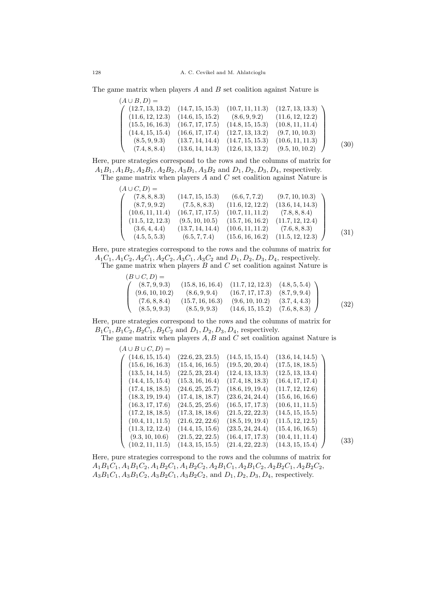The game matrix when players  $A$  and  $B$  set coalition against Nature is

| $(A \cup B, D) =$ |                  |                  |                  |      |
|-------------------|------------------|------------------|------------------|------|
| (12.7, 13, 13.2)  | (14.7, 15, 15.3) | (10.7, 11, 11.3) | (12.7, 13, 13.3) |      |
| (11.6, 12, 12.3)  | (14.6, 15, 15.2) | (8.6, 9, 9.2)    | (11.6, 12, 12.2) |      |
| (15.5, 16, 16.3)  | (16.7, 17, 17.5) | (14.8, 15, 15.3) | (10.8, 11, 11.4) |      |
| (14.4, 15, 15.4)  | (16.6, 17, 17.4) | (12.7, 13, 13.2) | (9.7, 10, 10.3)  |      |
| (8.5, 9, 9.3)     | (13.7, 14, 14.4) | (14.7, 15, 15.3) | (10.6, 11, 11.3) | (30) |
| (7.4, 8, 8.4)     | (13.6, 14, 14.3) | (12.6, 13, 13.2) | (9.5, 10, 10.2)  |      |

Here, pure strategies correspond to the rows and the columns of matrix for  $A_1B_1, A_1B_2, A_2B_1, A_2B_2, A_3B_1, A_3B_2$  and  $D_1, D_2, D_3, D_4$ , respectively. The game matrix when players  $A$  and  $C$  set coalition against Nature is

| $(A\cup C,D) =$  |                  |                  |                  |      |
|------------------|------------------|------------------|------------------|------|
| (7.8, 8, 8.3)    | (14.7, 15, 15.3) | (6.6, 7, 7.2)    | (9.7, 10, 10.3)  |      |
| (8.7, 9, 9.2)    | (7.5, 8, 8.3)    | (11.6, 12, 12.2) | (13.6, 14, 14.3) |      |
| (10.6, 11, 11.4) | (16.7, 17, 17.5) | (10.7, 11, 11.2) | (7.8, 8, 8.4)    |      |
| (11.5, 12, 12.3) | (9.5, 10, 10.5)  | (15.7, 16, 16.2) | (11.7, 12, 12.4) |      |
| (3.6, 4, 4.4)    | (13.7, 14, 14.4) | (10.6, 11, 11.2) | (7.6, 8, 8.3)    | (31) |
| (4.5, 5, 5.3)    | (6.5, 7, 7.4)    | (15.6, 16, 16.2) | (11.5, 12, 12.3) |      |

Here, pure strategies correspond to the rows and the columns of matrix for  $A_1C_1, A_1C_2, A_2C_1, A_2C_2, A_3C_1, A_3C_2$  and  $D_1, D_2, D_3, D_4$ , respectively. The game matrix when players  $B$  and  $C$  set coalition against Nature is

| $(B\cup C, D) =$ |                  |                                       |               |      |
|------------------|------------------|---------------------------------------|---------------|------|
| (8.7, 9, 9.3)    |                  | $(15.8, 16, 16.4)$ $(11.7, 12, 12.3)$ | (4.8, 5, 5.4) |      |
| (9.6, 10, 10.2)  | (8.6, 9, 9.4)    | (16.7, 17, 17.3)                      | (8.7, 9, 9.4) |      |
| (7.6, 8, 8.4)    | (15.7, 16, 16.3) | (9.6, 10, 10.2)                       | (3.7, 4, 4.3) | (32) |
| (8.5, 9, 9.3)    | (8.5, 9, 9.3)    | (14.6, 15, 15.2)                      | (7.6, 8, 8.3) |      |

Here, pure strategies correspond to the rows and the columns of matrix for  $B_1C_1, B_1C_2, B_2C_1, B_2C_2$  and  $D_1, D_2, D_3, D_4$ , respectively.

The game matrix when players  $A, B$  and  $C$  set coalition against Nature is  $(A \cup B \cup C, D)$ 

| $(A \cup D \cup C, D) \equiv$ |                  |                  |                  |      |
|-------------------------------|------------------|------------------|------------------|------|
| (14.6, 15, 15.4)              | (22.6, 23, 23.5) | (14.5, 15, 15.4) | (13.6, 14, 14.5) |      |
| (15.6, 16, 16.3)              | (15.4, 16, 16.5) | (19.5, 20, 20.4) | (17.5, 18, 18.5) |      |
| (13.5, 14, 14.5)              | (22.5, 23, 23.4) | (12.4, 13, 13.3) | (12.5, 13, 13.4) |      |
| (14.4, 15, 15.4)              | (15.3, 16, 16.4) | (17.4, 18, 18.3) | (16.4, 17, 17.4) |      |
| (17.4, 18, 18.5)              | (24.6, 25, 25.7) | (18.6, 19, 19.4) | (11.7, 12, 12.6) |      |
| (18.3, 19, 19.4)              | (17.4, 18, 18.7) | (23.6, 24, 24.4) | (15.6, 16, 16.6) |      |
| (16.3, 17, 17.6)              | (24.5, 25, 25.6) | (16.5, 17, 17.3) | (10.6, 11, 11.5) |      |
| (17.2, 18, 18.5)              | (17.3, 18, 18.6) | (21.5, 22, 22.3) | (14.5, 15, 15.5) |      |
| (10.4, 11, 11.5)              | (21.6, 22, 22.6) | (18.5, 19, 19.4) | (11.5, 12, 12.5) |      |
| (11.3, 12, 12.4)              | (14.4, 15, 15.6) | (23.5, 24, 24.4) | (15.4, 16, 16.5) |      |
| (9.3, 10, 10.6)               | (21.5, 22, 22.5) | (16.4, 17, 17.3) | (10.4, 11, 11.4) | (33) |
| (10.2, 11, 11.5)              | (14.3, 15, 15.5) | (21.4, 22, 22.3) | (14.3, 15, 15.4) |      |

Here, pure strategies correspond to the rows and the columns of matrix for  $A_1B_1C_1$ ,  $A_1B_1C_2$ ,  $A_1B_2C_1$ ,  $A_1B_2C_2$ ,  $A_2B_1C_1$ ,  $A_2B_1C_2$ ,  $A_2B_2C_1$ ,  $A_2B_2C_2$ ,  $A_3B_1C_1$ ,  $A_3B_1C_2$ ,  $A_3B_2C_1$ ,  $A_3B_2C_2$ , and  $D_1$ ,  $D_2$ ,  $D_3$ ,  $D_4$ , respectively.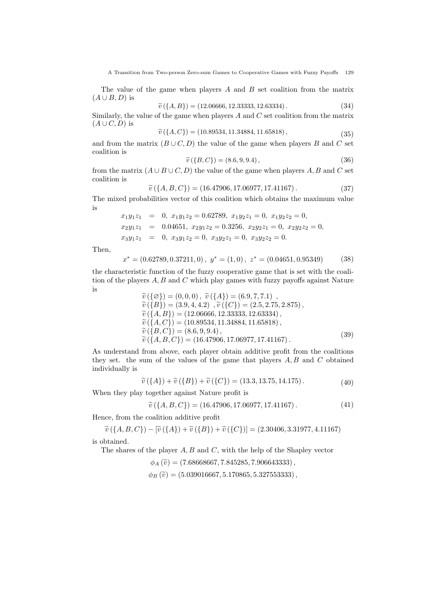A Transition from Two-person Zero-sum Games to Cooperative Games with Fuzzy Payoffs 129

The value of the game when players A and B set coalition from the matrix  $(A \cup B, D)$  is

$$
\tilde{v}(\lbrace A, B \rbrace) = (12.06666, 12.33333, 12.63334). \tag{34}
$$

 $\widetilde{v}(\{A, B\}) = (12.06666, 12.33333, 12.63334)$ . (34)<br>Similarly, the value of the game when players A and C set coalition from the matrix  $(A \cup C, D)$  is

$$
\tilde{v}(\lbrace A, C \rbrace) = (10.89534, 11.34884, 11.65818), \tag{35}
$$

and from the matrix  $(B\cup C, D)$  the value of the game when players B and C set coalition is

$$
\tilde{v}(\{B, C\}) = (8.6, 9, 9.4),\tag{36}
$$

from the matrix  $(A \cup B \cup C, D)$  the value of the game when players  $A, B$  and  $C$  set coalition is

$$
\widetilde{v}(\lbrace A, B, C \rbrace) = (16.47906, 17.06977, 17.41167). \tag{37}
$$

 $\widetilde{v}(\{A, B, C\}) = (16.47906, 17.06977, 17.41167)$ . (37)<br>The mixed probabilities vector of this coalition which obtains the maximum value is

 $x_1y_1z_1 = 0, x_1y_1z_2 = 0.62789, x_1y_2z_1 = 0, x_1y_2z_2 = 0,$  $x_2y_1z_1 = 0.04651, x_2y_1z_2 = 0.3256, x_2y_2z_1 = 0, x_2y_2z_2 = 0,$  $x_3y_1z_1 = 0, x_3y_1z_2 = 0, x_3y_2z_1 = 0, x_3y_2z_2 = 0.$ 

Then,

$$
x^* = (0.62789, 0.37211, 0), y^* = (1, 0), z^* = (0.04651, 0.95349) \tag{38}
$$

the characteristic function of the fuzzy cooperative game that is set with the coalition of the players  $A, B$  and  $C$  which play games with fuzzy payoffs against Nature is

$$
\begin{aligned}\n\widetilde{v}(\{\varnothing\}) &= (0, 0, 0), \ \widetilde{v}(\{A\}) = (6.9, 7, 7.1) , \\
\widetilde{v}(\{B\}) &= (3.9, 4, 4.2), \widetilde{v}(\{C\}) = (2.5, 2.75, 2.875) , \\
\widetilde{v}(\{A, B\}) &= (12.06666, 12.33333, 12.63334) , \\
\widetilde{v}(\{A, C\}) &= (10.89534, 11.34884, 11.65818) , \\
\widetilde{v}(\{B, C\}) &= (8.6, 9, 9.4) , \\
\widetilde{v}(\{A, B, C\}) &= (16.47906, 17.06977, 17.41167) .\n\end{aligned} \tag{39}
$$

As understand from above, each player obtain additive profit from the coalitions they set. the sum of the values of the game that players  $A, B$  and  $C$  obtained individually is

$$
\tilde{v}(\lbrace A \rbrace) + \tilde{v}(\lbrace B \rbrace) + \tilde{v}(\lbrace C \rbrace) = (13.3, 13.75, 14.175). \tag{40}
$$

When they play together against Nature profit is

$$
\widetilde{v}(\lbrace A, B, C \rbrace) = (16.47906, 17.06977, 17.41167). \tag{41}
$$

Hence, from the coalition additive profit

 $\tilde{v}(\{A, B, C\}) - [\tilde{v}(\{A\}) + \tilde{v}(\{B\}) + \tilde{v}(\{C\})] = (2.30406, 3.31977, 4.11167)$ 

is obtained.

The shares of the player  $A, B$  and  $C$ , with the help of the Shapley vector

 $\phi_A(\tilde{v}) = (7.68668667, 7.845285, 7.906643333),$  $\phi_B(\tilde{v}) = (5.039016667, 5.170865, 5.327553333),$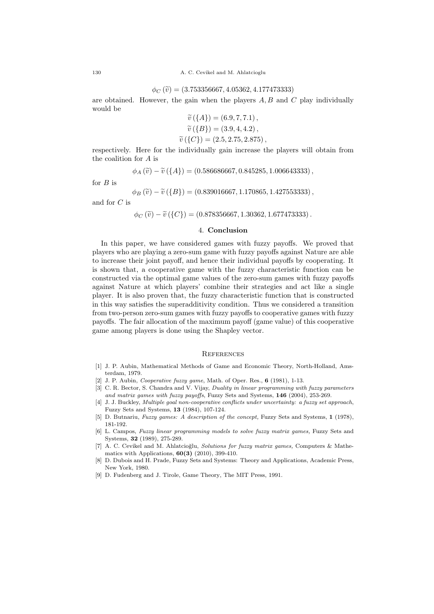$$
\phi_C(\widetilde{v}) = (3.753356667, 4.05362, 4.177473333)
$$

 $\phi_C(\tilde{v}) = (3.753356667, 4.05362, 4.177473333)$ <br>are obtained. However, the gain when the players A, B and C play individually would be

$$
\widetilde{v}(\lbrace A \rbrace) = (6.9, 7, 7.1), \n\widetilde{v}(\lbrace B \rbrace) = (3.9, 4, 4.2), \n\widetilde{v}(\lbrace C \rbrace) = (2.5, 2.75, 2.875), \n\vdots \quad \vdots \quad \vdots
$$

respectively. Here for the individually gain increase the players will obtain from the coalition for A is

$$
\phi_A(\widetilde{v}) - \widetilde{v}(\lbrace A \rbrace) = (0.586686667, 0.845285, 1.006643333),
$$

for  $B$  is

$$
\phi_B(\widetilde{v}) - \widetilde{v}(\lbrace B \rbrace) = (0.839016667, 1.170865, 1.427553333),
$$

and for C is

$$
\phi_C(\widetilde{v}) - \widetilde{v}(\{C\}) = (0.878356667, 1.30362, 1.677473333).
$$

#### 4. Conclusion

In this paper, we have considered games with fuzzy payoffs. We proved that players who are playing a zero-sum game with fuzzy payoffs against Nature are able to increase their joint payoff, and hence their individual payoffs by cooperating. It is shown that, a cooperative game with the fuzzy characteristic function can be constructed via the optimal game values of the zero-sum games with fuzzy payoffs against Nature at which players' combine their strategies and act like a single player. It is also proven that, the fuzzy characteristic function that is constructed in this way satisfies the superadditivity condition. Thus we considered a transition from two-person zero-sum games with fuzzy payoffs to cooperative games with fuzzy payoffs. The fair allocation of the maximum payoff (game value) of this cooperative game among players is done using the Shapley vector.

#### **REFERENCES**

- [1] J. P. Aubin, Mathematical Methods of Game and Economic Theory, North-Holland, Amsterdam, 1979.
- [2] J. P. Aubin, *Cooperative fuzzy game*, Math. of Oper. Res., **6** (1981), 1-13.
- [3] C. R. Bector, S. Chandra and V. Vijay, Duality in linear programming with fuzzy parameters and matrix games with fuzzy payoffs, Fuzzy Sets and Systems, 146 (2004), 253-269.
- [4] J. J. Buckley, Multiple goal non-cooperative conflicts under uncertainty: a fuzzy set approach, Fuzzy Sets and Systems, 13 (1984), 107-124.
- [5] D. Butnariu, Fuzzy games: A description of the concept, Fuzzy Sets and Systems, 1 (1978), 181-192.
- [6] L. Campos, Fuzzy linear programming models to solve fuzzy matrix games, Fuzzy Sets and Systems, 32 (1989), 275-289.
- [7] A. C. Cevikel and M. Ahlatcioğlu, Solutions for fuzzy matrix games, Computers & Mathematics with Applications, 60(3) (2010), 399-410.
- [8] D. Dubois and H. Prade, Fuzzy Sets and Systems: Theory and Applications, Academic Press, New York, 1980.
- [9] D. Fudenberg and J. Tirole, Game Theory, The MIT Press, 1991.